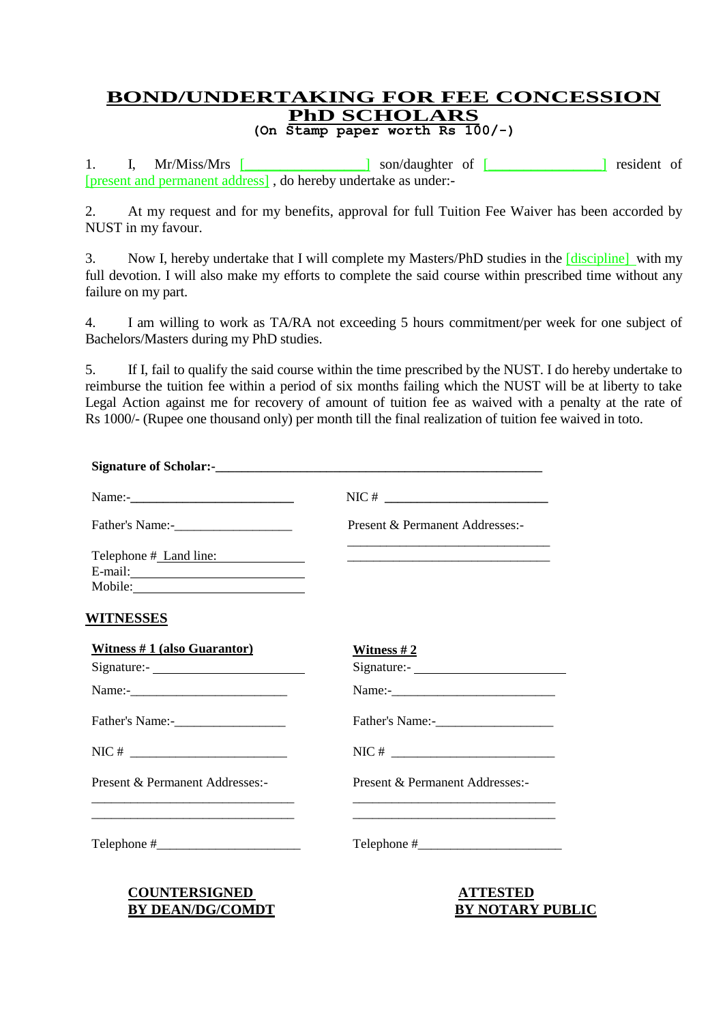## **BOND/UNDERTAKING FOR FEE CONCESSION PhD SCHOLARS (On Stamp paper worth Rs 100/-)**

1. I, Mr/Miss/Mrs [\_\_\_\_\_\_\_\_\_\_\_\_\_\_\_\_\_] son/daughter of [\_\_\_\_\_\_\_\_\_\_\_\_\_\_\_\_] resident of [present and permanent address] , do hereby undertake as under:-

2. At my request and for my benefits, approval for full Tuition Fee Waiver has been accorded by NUST in my favour.

3. Now I, hereby undertake that I will complete my Masters/PhD studies in the [discipline] with my full devotion. I will also make my efforts to complete the said course within prescribed time without any failure on my part.

4. I am willing to work as TA/RA not exceeding 5 hours commitment/per week for one subject of Bachelors/Masters during my PhD studies.

5. If I, fail to qualify the said course within the time prescribed by the NUST. I do hereby undertake to reimburse the tuition fee within a period of six months failing which the NUST will be at liberty to take Legal Action against me for recovery of amount of tuition fee as waived with a penalty at the rate of Rs 1000/- (Rupee one thousand only) per month till the final realization of tuition fee waived in toto.

|                                 | NIC # $\qquad$                  |
|---------------------------------|---------------------------------|
|                                 | Present & Permanent Addresses:- |
| Telephone # Land line:          |                                 |
| Mobile: Nobile:                 |                                 |
| <u>WITNESSES</u>                |                                 |
| Witness $# 1$ (also Guarantor)  | Witness $#2$                    |
|                                 |                                 |
|                                 |                                 |
|                                 |                                 |
| NIC # $\_$                      | NIC # $\_$                      |
| Present & Permanent Addresses:- | Present & Permanent Addresses:- |
|                                 |                                 |
|                                 | $\text{Telephone} \#$           |

**BY DEAN/DG/COMDT BY NOTARY PUBLIC**